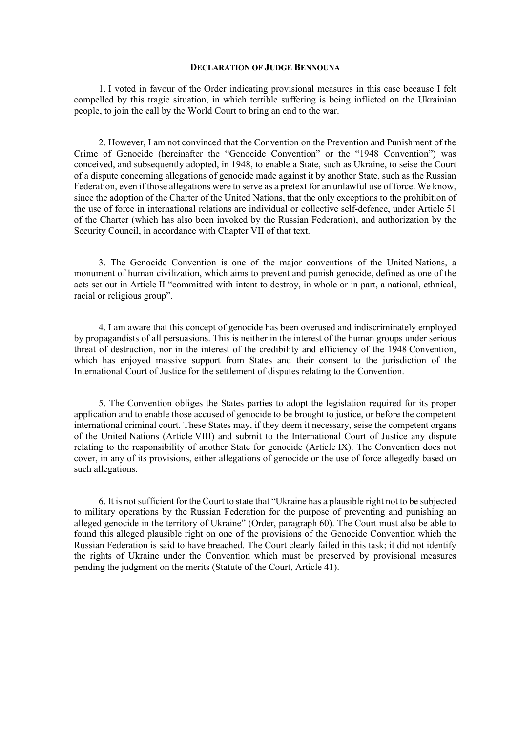## **DECLARATION OF JUDGE BENNOUNA**

1. I voted in favour of the Order indicating provisional measures in this case because I felt compelled by this tragic situation, in which terrible suffering is being inflicted on the Ukrainian people, to join the call by the World Court to bring an end to the war.

2. However, I am not convinced that the Convention on the Prevention and Punishment of the Crime of Genocide (hereinafter the "Genocide Convention" or the "1948 Convention") was conceived, and subsequently adopted, in 1948, to enable a State, such as Ukraine, to seise the Court of a dispute concerning allegations of genocide made against it by another State, such as the Russian Federation, even if those allegations were to serve as a pretext for an unlawful use of force. We know, since the adoption of the Charter of the United Nations, that the only exceptions to the prohibition of the use of force in international relations are individual or collective self-defence, under Article 51 of the Charter (which has also been invoked by the Russian Federation), and authorization by the Security Council, in accordance with Chapter VII of that text.

3. The Genocide Convention is one of the major conventions of the United Nations, a monument of human civilization, which aims to prevent and punish genocide, defined as one of the acts set out in Article II "committed with intent to destroy, in whole or in part, a national, ethnical, racial or religious group".

4. I am aware that this concept of genocide has been overused and indiscriminately employed by propagandists of all persuasions. This is neither in the interest of the human groups under serious threat of destruction, nor in the interest of the credibility and efficiency of the 1948 Convention, which has enjoyed massive support from States and their consent to the jurisdiction of the International Court of Justice for the settlement of disputes relating to the Convention.

5. The Convention obliges the States parties to adopt the legislation required for its proper application and to enable those accused of genocide to be brought to justice, or before the competent international criminal court. These States may, if they deem it necessary, seise the competent organs of the United Nations (Article VIII) and submit to the International Court of Justice any dispute relating to the responsibility of another State for genocide (Article IX). The Convention does not cover, in any of its provisions, either allegations of genocide or the use of force allegedly based on such allegations.

6. It is not sufficient for the Court to state that "Ukraine has a plausible right not to be subjected to military operations by the Russian Federation for the purpose of preventing and punishing an alleged genocide in the territory of Ukraine" (Order, paragraph 60). The Court must also be able to found this alleged plausible right on one of the provisions of the Genocide Convention which the Russian Federation is said to have breached. The Court clearly failed in this task; it did not identify the rights of Ukraine under the Convention which must be preserved by provisional measures pending the judgment on the merits (Statute of the Court, Article 41).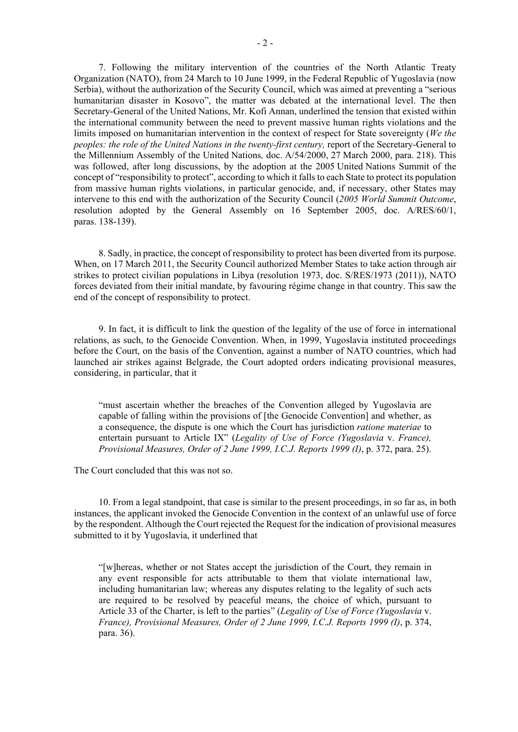7. Following the military intervention of the countries of the North Atlantic Treaty Organization (NATO), from 24 March to 10 June 1999, in the Federal Republic of Yugoslavia (now Serbia), without the authorization of the Security Council, which was aimed at preventing a "serious humanitarian disaster in Kosovo", the matter was debated at the international level. The then Secretary-General of the United Nations, Mr. Kofi Annan, underlined the tension that existed within the international community between the need to prevent massive human rights violations and the limits imposed on humanitarian intervention in the context of respect for State sovereignty (*We the peoples: the role of the United Nations in the twenty-first century, report of the Secretary-General to* the Millennium Assembly of the United Nations*,* doc. A/54/2000, 27 March 2000, para. 218). This was followed, after long discussions, by the adoption at the 2005 United Nations Summit of the concept of "responsibility to protect", according to which it falls to each State to protect its population from massive human rights violations, in particular genocide, and, if necessary, other States may intervene to this end with the authorization of the Security Council (*2005 World Summit Outcome*, resolution adopted by the General Assembly on 16 September 2005, doc. A/RES/60/1, paras. 138-139).

8. Sadly, in practice, the concept of responsibility to protect has been diverted from its purpose. When, on 17 March 2011, the Security Council authorized Member States to take action through air strikes to protect civilian populations in Libya (resolution 1973, doc. S/RES/1973 (2011)), NATO forces deviated from their initial mandate, by favouring régime change in that country. This saw the end of the concept of responsibility to protect.

9. In fact, it is difficult to link the question of the legality of the use of force in international relations, as such, to the Genocide Convention. When, in 1999, Yugoslavia instituted proceedings before the Court, on the basis of the Convention, against a number of NATO countries, which had launched air strikes against Belgrade, the Court adopted orders indicating provisional measures, considering, in particular, that it

"must ascertain whether the breaches of the Convention alleged by Yugoslavia are capable of falling within the provisions of [the Genocide Convention] and whether, as a consequence, the dispute is one which the Court has jurisdiction *ratione materiae* to entertain pursuant to Article IX" (*Legality of Use of Force (Yugoslavia* v. *France), Provisional Measures, Order of 2 June 1999, I.C.J. Reports 1999 (I)*, p. 372, para. 25).

The Court concluded that this was not so.

10. From a legal standpoint, that case is similar to the present proceedings, in so far as, in both instances, the applicant invoked the Genocide Convention in the context of an unlawful use of force by the respondent. Although the Court rejected the Request for the indication of provisional measures submitted to it by Yugoslavia, it underlined that

"[w]hereas, whether or not States accept the jurisdiction of the Court, they remain in any event responsible for acts attributable to them that violate international law, including humanitarian law; whereas any disputes relating to the legality of such acts are required to be resolved by peaceful means, the choice of which, pursuant to Article 33 of the Charter, is left to the parties" (*Legality of Use of Force (Yugoslavia* v. *France), Provisional Measures, Order of 2 June 1999, I.C.J. Reports 1999 (I)*, p. 374, para. 36).